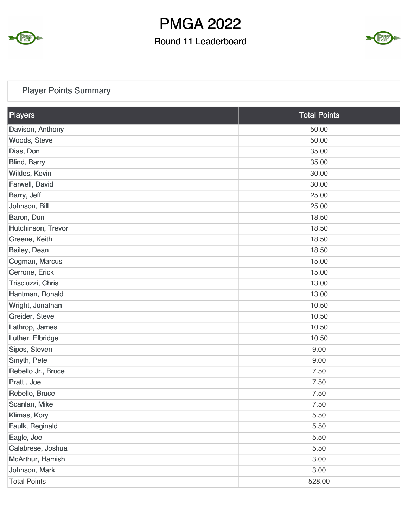

## Round 11 Leaderboard



## Player Points Summary

| Players             | <b>Total Points</b> |
|---------------------|---------------------|
| Davison, Anthony    | 50.00               |
| Woods, Steve        | 50.00               |
| Dias, Don           | 35.00               |
| <b>Blind, Barry</b> | 35.00               |
| Wildes, Kevin       | 30.00               |
| Farwell, David      | 30.00               |
| Barry, Jeff         | 25.00               |
| Johnson, Bill       | 25.00               |
| Baron, Don          | 18.50               |
| Hutchinson, Trevor  | 18.50               |
| Greene, Keith       | 18.50               |
| Bailey, Dean        | 18.50               |
| Cogman, Marcus      | 15.00               |
| Cerrone, Erick      | 15.00               |
| Trisciuzzi, Chris   | 13.00               |
| Hantman, Ronald     | 13.00               |
| Wright, Jonathan    | 10.50               |
| Greider, Steve      | 10.50               |
| Lathrop, James      | 10.50               |
| Luther, Elbridge    | 10.50               |
| Sipos, Steven       | 9.00                |
| Smyth, Pete         | 9.00                |
| Rebello Jr., Bruce  | 7.50                |
| Pratt, Joe          | 7.50                |
| Rebello, Bruce      | 7.50                |
| Scanlan, Mike       | 7.50                |
| Klimas, Kory        | 5.50                |
| Faulk, Reginald     | 5.50                |
| Eagle, Joe          | 5.50                |
| Calabrese, Joshua   | 5.50                |
| McArthur, Hamish    | 3.00                |
| Johnson, Mark       | 3.00                |
| <b>Total Points</b> | 528.00              |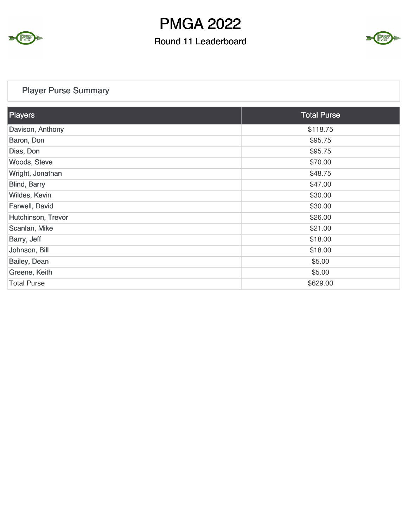

## Round 11 Leaderboard



## Player Purse Summary

| Players             | <b>Total Purse</b> |
|---------------------|--------------------|
| Davison, Anthony    | \$118.75           |
| Baron, Don          | \$95.75            |
| Dias, Don           | \$95.75            |
| Woods, Steve        | \$70.00            |
| Wright, Jonathan    | \$48.75            |
| <b>Blind, Barry</b> | \$47.00            |
| Wildes, Kevin       | \$30.00            |
| Farwell, David      | \$30.00            |
| Hutchinson, Trevor  | \$26.00            |
| Scanlan, Mike       | \$21.00            |
| Barry, Jeff         | \$18.00            |
| Johnson, Bill       | \$18.00            |
| Bailey, Dean        | \$5.00             |
| Greene, Keith       | \$5.00             |
| <b>Total Purse</b>  | \$629.00           |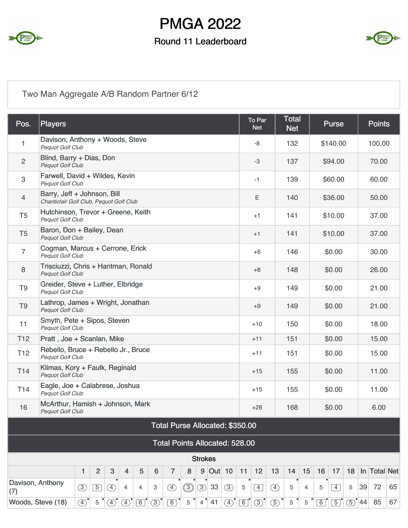

### Round 11 Leaderboard



## Two Man Aggregate A/B Random Partner 6/12

| Pos.                      | <b>Players</b>                                                         |                                                     |                |              |               |             |                  |                                       |             |                |        |               |             | To Par<br><b>Net</b> |               | <b>Total</b><br><b>Net</b> |        |    | <b>Purse</b>   |            |    | <b>Points</b> |    |
|---------------------------|------------------------------------------------------------------------|-----------------------------------------------------|----------------|--------------|---------------|-------------|------------------|---------------------------------------|-------------|----------------|--------|---------------|-------------|----------------------|---------------|----------------------------|--------|----|----------------|------------|----|---------------|----|
| 1                         | Davison, Anthony + Woods, Steve<br>Pequot Golf Club                    |                                                     |                |              |               |             |                  |                                       |             |                |        |               |             | -8                   |               | 132                        |        |    | \$140.00       |            |    | 100.00        |    |
| $\overline{c}$            | Blind, Barry + Dias, Don<br>Pequot Golf Club                           |                                                     |                |              |               |             |                  |                                       |             |                |        |               |             | -3                   |               | 137                        |        |    | \$94.00        |            |    | 70.00         |    |
| $\ensuremath{\mathsf{3}}$ | Farwell, David + Wildes, Kevin<br>Pequot Golf Club                     |                                                     |                |              |               |             |                  |                                       |             |                |        |               |             | $-1$                 |               | 139                        |        |    | \$60.00        |            |    | 60.00         |    |
| $\overline{4}$            | Barry, Jeff + Johnson, Bill<br>Chanticlair Golf Club, Pequot Golf Club |                                                     |                |              |               |             |                  |                                       |             |                |        |               |             | Ε                    |               | 140                        |        |    | \$36.00        |            |    | 50.00         |    |
| T <sub>5</sub>            | Hutchinson, Trevor + Greene, Keith<br>Pequot Golf Club                 |                                                     |                |              |               |             |                  |                                       |             |                |        |               |             | $+1$                 |               | 141                        |        |    | \$10.00        |            |    | 37.00         |    |
| T <sub>5</sub>            | Baron, Don + Bailey, Dean<br><b>Pequot Golf Club</b>                   |                                                     |                |              |               |             |                  |                                       |             |                |        |               |             | $+1$                 |               | 141                        |        |    | \$10.00        |            |    | 37.00         |    |
| $\overline{7}$            |                                                                        | Cogman, Marcus + Cerrone, Erick<br>Pequot Golf Club |                |              |               |             |                  |                                       |             |                |        | $+6$          |             | 146                  |               |                            | \$0.00 |    |                | 30.00      |    |               |    |
| $\,8\,$                   | Trisciuzzi, Chris + Hantman, Ronald<br>Pequot Golf Club                |                                                     |                |              |               |             |                  |                                       |             |                |        |               |             | $+8$                 |               | 148                        |        |    | \$0.00         |            |    | 26.00         |    |
| T <sub>9</sub>            | Greider, Steve + Luther, Elbridge<br>Pequot Golf Club                  |                                                     |                |              |               |             |                  |                                       |             |                |        |               |             | $+9$                 |               | 149                        |        |    | \$0.00         |            |    | 21.00         |    |
| T <sub>9</sub>            | Lathrop, James + Wright, Jonathan<br>Pequot Golf Club                  |                                                     |                |              |               |             |                  |                                       |             |                |        |               |             | $+9$                 |               | 149                        |        |    | \$0.00         |            |    | 21.00         |    |
| 11                        | Smyth, Pete + Sipos, Steven<br>Pequot Golf Club                        |                                                     |                |              |               |             |                  |                                       |             |                |        |               |             | $+10$                |               | 150                        |        |    | \$0.00         |            |    | 18.00         |    |
| T <sub>12</sub>           | Pratt, Joe + Scanlan, Mike                                             |                                                     |                |              |               |             |                  |                                       |             |                |        |               |             | $+11$                |               | 151                        |        |    | \$0.00         |            |    | 15.00         |    |
| T <sub>12</sub>           | Rebello, Bruce + Rebello Jr., Bruce<br><b>Pequot Golf Club</b>         |                                                     |                |              |               |             |                  |                                       |             |                |        |               |             | $+11$                |               | 151                        |        |    | \$0.00         |            |    | 15.00         |    |
| T <sub>14</sub>           | Klimas, Kory + Faulk, Reginald<br>Pequot Golf Club                     |                                                     |                |              |               |             |                  |                                       |             |                |        |               |             | $+15$                |               | 155                        |        |    | \$0.00         |            |    | 11.00         |    |
| T <sub>14</sub>           | Eagle, Joe + Calabrese, Joshua<br>Pequot Golf Club                     |                                                     |                |              |               |             |                  |                                       |             |                |        |               |             | $+15$                |               | 155                        |        |    | \$0.00         |            |    | 11.00         |    |
| 16                        | McArthur, Hamish + Johnson, Mark<br>Pequot Golf Club                   |                                                     |                |              |               |             |                  |                                       |             |                |        |               |             | $+28$                |               | 168                        |        |    | \$0.00         |            |    | 6.00          |    |
|                           |                                                                        |                                                     |                |              |               |             |                  | Total Purse Allocated: \$350.00       |             |                |        |               |             |                      |               |                            |        |    |                |            |    |               |    |
|                           |                                                                        |                                                     |                |              |               |             |                  | <b>Total Points Allocated: 528.00</b> |             |                |        |               |             |                      |               |                            |        |    |                |            |    |               |    |
|                           |                                                                        | <b>Strokes</b>                                      |                |              |               |             |                  |                                       |             |                |        |               |             |                      |               |                            |        |    |                |            |    |               |    |
|                           |                                                                        | 1                                                   | $\overline{2}$ | $\mathbf{3}$ | 4             | 5           | $\boldsymbol{6}$ | $\overline{7}$                        | 8           | 9              | Out 10 |               | 11          | 12                   | 13            | 14                         | 15     | 16 | 17             | 18         |    | In Total Net  |    |
| Davison, Anthony<br>(7)   |                                                                        | $\circled{3}$                                       | $\overline{5}$ | <sup>4</sup> | 4             | 4           | 3                | $\circled{4}$                         | $\circledS$ | $\circled{3}$  | 33     | (3)           | 5           | $\vert 4 \vert$      | $\circled{4}$ | 5                          | 4      | 5  | $\overline{4}$ | 5          | 39 | 72            | 65 |
|                           | Woods, Steve (18)                                                      | $\circled{4}$                                       | 5              | $\bigcirc$   | $\circled{4}$ | $\boxed{6}$ | $\circled{3}$    | 6                                     | 5           | 4 <sup>°</sup> | 41     | $\circled{4}$ | $\boxed{6}$ | $\circled{3}$        | $\circled{5}$ | 5                          | 5      | 6  | $\boxed{5}$    | $\circ$ 44 |    | 85            | 67 |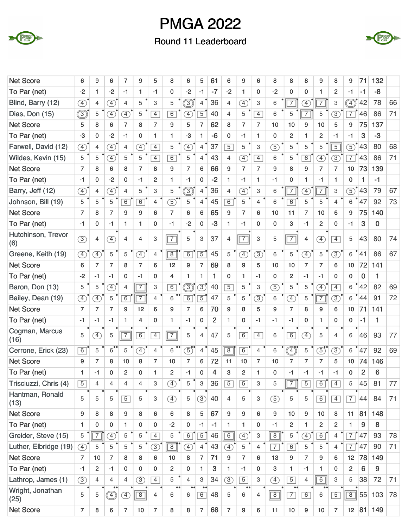

### Round 11 Leaderboard



| <b>Net Score</b>          | 6              | 9                            | 6                            | $\overline{7}$ | 9              | 5              | 8                     | 6              | 5              | 61             | 6              | 9              | 6              | 8              | 8                            | 8                            | 9                          | 8              | 9               | 71             | 132       |    |
|---------------------------|----------------|------------------------------|------------------------------|----------------|----------------|----------------|-----------------------|----------------|----------------|----------------|----------------|----------------|----------------|----------------|------------------------------|------------------------------|----------------------------|----------------|-----------------|----------------|-----------|----|
| To Par (net)              | $-2$           | $\mathbf{1}$                 | $-2$                         | $-1$           | 1              | $-1$           | 0                     | $-2$           | $-1$           | $-7$           | $-2$           | 1.             | 0              | $-2$           | 0                            | $\mathbf{0}$                 | 1                          | $\overline{c}$ | $-1$            | -1             | $-8$      |    |
| Blind, Barry (12)         | $\bigoplus$    | 4                            | $\overline{4}$               | $\overline{4}$ | 5              | 3              | 5                     | $\circledS$    | $\overline{4}$ | 36             | $\overline{4}$ | $\overline{4}$ | 3              | 6              | $\overline{7}$               | $\circled{4}$                | $\overline{7}$             | 3              | $\circledcirc$  | 42             | 78        | 66 |
| Dias, Don (15)            | $\circledS$    | 5                            | $\circled{4}$                | $\circledA$    | 5              | $\overline{4}$ | $\overline{6}$        | A)             | $\overline{5}$ | 40             | $\overline{4}$ | 5              | $\overline{4}$ | 6              | 5                            | $\overline{7}$               | 5                          | $\circled{3}$  | $\overline{7}$  | 46             | 86        | 71 |
| <b>Net Score</b>          | 5              | 8                            | 6                            | $\overline{7}$ | 8              | $\overline{7}$ | 9                     | 5              | $\overline{7}$ | 62             | 8              | $\overline{7}$ | $\overline{7}$ | 10             | 10                           | 9                            | 10                         | 5              | 9               | 75             | 137       |    |
| To Par (net)              | $-3$           | $\mathbf{0}$                 | $-2$                         | $-1$           | $\mathbf{0}$   | 1.             | $\mathbf{1}$          | $-3$           | $\mathbf{1}$   | $-6$           | $\mathbf 0$    | -1             | $\mathbf{1}$   | $\mathbf{0}$   | $\overline{c}$               | 1                            | $\overline{2}$             | $-1$           | $-1$            | 3              | $-3$      |    |
| Farwell, David (12)       | $\circled{4}$  | 4                            | $\overline{4}$               | $\overline{4}$ | $\mathcal{F}$  | $\overline{4}$ | 5                     | $\mathcal{F}$  | 4              | 37             | $\overline{5}$ | 5              | 3              | (5)            | 5                            | 5                            | 5                          | $\overline{5}$ | $\circled{5}$   | 43             | 80        | 68 |
| Wildes, Kevin (15)        | 5              | 5                            | $\left( \overline{4}\right)$ | 5              | 5              | $\overline{4}$ | 6                     | 5              | 4              | 43             | $\overline{4}$ | $\mathcal{F}$  | $\overline{4}$ | 6              | 5                            | $\overline{6}$               | $\bigoplus$                | $\circled{3}$  | $\overline{7}$  | 43             | 86        | 71 |
| <b>Net Score</b>          | $\overline{7}$ | 8                            | 6                            | 8              | $\overline{7}$ | 8              | 9                     | $\overline{7}$ | 6              | 66             | 9              | $\overline{7}$ | $\overline{7}$ | 9              | 8                            | 9                            | $\overline{7}$             | $\overline{7}$ | 10              | 73             | 139       |    |
| To Par (net)              | $-1$           | $\mathbf 0$                  | $-2$                         | 0              | $-1$           | $\overline{c}$ | 1                     | $-1$           | $\mathbf 0$    | $-2$           | $\mathbf{1}$   | -1             | 1.             | $-1$           | 0                            | 1                            | $-1$                       | 1              | 0               | 1              | $-1$      |    |
| Barry, Jeff (12)          | $\circled{4}$  | 4                            | $\overline{4}$               | $\overline{4}$ | 5              | 3              | 5                     | $\circled{3}$  | $\overline{4}$ | 36             | $\overline{4}$ | $\overline{4}$ | 3              | 6              | $\sqrt{7}$                   | $\left( \overline{4}\right)$ | $\overline{7}$             | 3              | $\circled{5}$   | 43             | 79        | 67 |
| Johnson, Bill (19)        | 5              | 5                            | 5                            | 6              | 6              | $\overline{4}$ | 5)                    | 5              | 4              | 45             | 6              | 5              | $\overline{4}$ | 6              | 6                            | 5                            | 5                          | $\overline{4}$ | 6               | 47             | 92        | 73 |
| <b>Net Score</b>          | $\overline{7}$ | 8                            | $\overline{7}$               | 9              | 9              | 6              | $\overline{7}$        | 6              | 6              | 65             | 9              | $\overline{7}$ | 6              | 10             | 11                           | $\overline{7}$               | 10                         | 6              | 9               | 75             | 140       |    |
| To Par (net)              | $-1$           | $\mathbf 0$                  | $-1$                         | $\mathbf{1}$   | 1              | $\mathbf 0$    | $-1$                  | $-2$           | $\mathbf 0$    | $-3$           | $\mathbf{1}$   | $-1$           | 0              | $\mathbf{0}$   | 3                            | $-1$                         | $\overline{2}$             | $\mathbf 0$    | $-1$            | 3              | 0         |    |
| Hutchinson, Trevor<br>(6) | (3)            | $\overline{4}$               | $\mathcal{F}$                | $\overline{4}$ | 4              | 3              | $\vert 7 \vert$       | 5              | 3              | 37             | 4              | $\overline{7}$ | 3              | 5              | $\overline{7}$               | 4                            | $\circled{4}$              | $\overline{4}$ | 5               | 43             | 80        | 74 |
| Greene, Keith (19)        | $\circled{4}$  | $\left( \overline{4}\right)$ | 5                            | 5              | $\mathcal{F}$  | 4              | $\overline{8}$        | $\overline{6}$ | $\overline{5}$ | 45             | 5              | $\overline{4}$ | $\circled{3}$  | 6              | 5                            | $\mathcal{F}$                | 5                          | $\circled{3}$  | 6               | 41             | 86        | 67 |
| <b>Net Score</b>          | 6              | $\overline{7}$               | $\overline{7}$               | 8              | $\overline{7}$ | 6              | 12                    | 9              | $\overline{7}$ | 69             | 8              | 9              | 5              | 10             | 10                           | $\overline{7}$               | $\overline{7}$             | 6              | 10              | 72             | 141       |    |
| To Par (net)              | $-2$           | $-1$                         | $-1$                         | 0              | $-1$           | $\mathbf 0$    | 4                     | 1              | $\mathbf{1}$   | 1              | $\mathbf 0$    | $\mathbf{1}$   | $-1$           | 0              | $\overline{c}$               | $-1$                         | -1                         | 0              | 0               | 0              | 1         |    |
| Baron, Don (13)           | 5              | 5                            | $\circled{4}$                | $\overline{4}$ | $\overline{7}$ | 3              | $\overline{6}$        | $\circledS$    | $\binom{3}{2}$ | 40             | $\overline{5}$ | 5              | 3              | (5)            | 5                            | 5                            | $\circledA$                | $\overline{4}$ | 6               | 42             | 82        | 69 |
| Bailey, Dean (19)         | $\circled{4}$  | $\left( \overline{4}\right)$ | 5                            | $\overline{6}$ | $\overline{7}$ | $\overline{4}$ | 6                     | 6              | $\overline{5}$ | 47             | 5              | 5              | $\circled{3}$  | 6              | $\circled{4}$                | 5                            | $\overline{7}$             | $\circled{3}$  | 6               | 44             | 91        | 72 |
| <b>Net Score</b>          | $\overline{7}$ | $\overline{7}$               | $\overline{7}$               | 9              | 12             | 6              | 9                     | $\overline{7}$ | 6              | 70             | 9              | 8              | 5              | 9              | $\overline{7}$               | 8                            | 9                          | 6              | 10              | 71             | 141       |    |
| To Par (net)              | $-1$           | $-1$                         | $-1$                         | 1              | $\overline{4}$ | $\mathbf 0$    | 1                     | $-1$           | $\mathbf 0$    | $\overline{2}$ | $\mathbf{1}$   | 0              | $-1$           | $-1$           | $-1$                         | 0                            | 1                          | $\mathbf 0$    | 0               | $-1$           | 1         |    |
| Cogman, Marcus<br>(16)    | 5              | $\boxed{4}$                  | 5                            | $\boxed{7}$    | 6              | $\overline{4}$ | $\overline{7}$        | 5              | $\overline{4}$ | 47             | 5              | $\overline{6}$ | $\overline{4}$ | 6              | 6                            | $\left( \overline{4}\right)$ | 5                          | 4              | 6               | 46             | 93        | 77 |
| Cerrone, Erick (23)       | 6              | 5                            | $\overline{6}$               | 5              | $\mathcal{F}$  | $\overline{4}$ | 6                     | $\overline{5}$ | $4^{\bullet}$  | 45             | $\overline{8}$ | $\overline{6}$ | $\overline{4}$ | 6              | $\overline{\textcircled{4}}$ | 5                            | $\textcircled{\small{5}}"$ | $\circled{3}$  | 6               | 47             | 92        | 69 |
| <b>Net Score</b>          | 9              | $\overline{7}$               | 8                            | 10             | 8              | $\overline{7}$ | 10                    | $\overline{7}$ | 6              | 72             | 11             | 10             | $\overline{7}$ | 10             | $\overline{7}$               | $\overline{7}$               | $\overline{7}$             | 5              | 10              | 74             | 146       |    |
| To Par (net)              | $\overline{1}$ | -1                           | O                            | $\mathfrak{p}$ | O              | 1              | 2                     | -1             | $\Omega$       | 4              | 3              | $\mathfrak{p}$ |                | $\Omega$       | $-1$                         | $-1$                         | -1                         | $-1$           | O               | $\overline{2}$ | 6         |    |
| Trisciuzzi, Chris (4)     | $\overline{5}$ | $\overline{4}$               | 4                            | 4              | 4              | 3              | $\circled{4}$         | 5              | 3              | 36             | $\overline{5}$ | $\overline{5}$ | 3              | 5              | $\sqrt{7}$                   | $\overline{5}$               | 6                          | $\overline{4}$ | 5               | 45             | 81        | 77 |
| Hantman, Ronald<br>(13)   | 5              | 5                            | 5                            | $\overline{5}$ | 5              | 3              | $\circled{4}$         | 5              | $\circled{3}$  | 40             | $\overline{4}$ | 5              | 3              | $\circled{5}$  | 5                            | 5                            | 6                          | $\overline{4}$ | $\boxed{7}$     | 44             | 84        | 71 |
| <b>Net Score</b>          | 9              | 8                            | 8                            | 9              | 8              | 6              | 6                     | 8              | 5              | 67             | 9              | 9              | 6              | 9              | 10 <sup>1</sup>              | 9                            | 10                         | 8              | 11              | 81             | 148       |    |
| To Par (net)              | 1              | $\mathbf 0$                  | $\mathbf 0$                  | 1              | $\mathbf 0$    | 0              | $-2$                  | $\mathbf 0$    | $-1$           | $-1$           | $\mathbf{1}$   | $\mathbf{1}$   | 0              | $-1$           | $\overline{c}$               | 1                            | $\overline{2}$             | $\overline{c}$ | 1               | 9              | 8         |    |
| Greider, Steve (15)       | 5              | $\overline{7}$               | Ð                            | 5              | 5              | $\overline{4}$ | 5                     | $\overline{6}$ | $\overline{5}$ | 46             | $\boxed{6}$    | $\bigoplus$    | 3              | $\overline{8}$ | 5                            | $\bigoplus$                  | 6                          | 4              | $\overline{7}$  | 47             | 93        | 78 |
| Luther, Elbridge (19)     | $\circled{4}$  | 5                            | 5                            | 5              | 5              | (3)            | $\boxed{8}$           | $\circled{4}$  | $\overline{4}$ | 43             | $\circled{4}$  | 5              | $\overline{4}$ | $\overline{7}$ | $\boxed{6}$                  | 5                            | 5                          | $\overline{4}$ | $\overline{7}$  | 47             | 90        | 71 |
| <b>Net Score</b>          | $\overline{7}$ | 10                           | $\overline{7}$               | 8              | 8              | 6              | 10 <sup>°</sup>       | 8              | $\overline{7}$ | 71             | 9              | $\overline{7}$ | 6              | 13             | 9                            | $\overline{7}$               | 9                          | 6              | 12 <sub>2</sub> | 78             | 149       |    |
| To Par (net)              | $-1$           | 2                            | $-1$                         | 0              | $\mathbf{0}$   | $\mathbf 0$    | $\overline{2}$        | 0              | $\mathbf{1}$   | 3              | $\mathbf{1}$   | $-1$           | $\mathbf{0}$   | 3              | $\mathbf{1}$                 | $-1$                         | 1                          | $\mathbf 0$    | $\overline{2}$  | 6              | 9         |    |
| Lathrop, James (1)        | $\circled{3}$  | $\overline{4}$               | $\overline{4}$               | $\overline{4}$ | $\circled{3}$  | $\overline{4}$ | 5                     | $\overline{4}$ | 3              | 34             | $\circled{3}$  | $\overline{5}$ | 3              | $\circledast$  | $\overline{5}$               | $\overline{4}$               | $\overline{6}$             | 3              | 5               | 38             | 72        | 71 |
| Wright, Jonathan<br>(25)  | 5              | 5                            |                              | $\circled{4}$  | $\boxed{8}$    | $\overline{4}$ | $\bullet\bullet$<br>6 | 6              | 6              | 48             | 5              | 6              | $\overline{4}$ | $\boxed{8}$    | $\boxed{7}$                  | 6                            | 6                          | $\boxed{5}$    | $\boxed{8}$     | 55             | 103       | 78 |
| <b>Net Score</b>          | $\overline{7}$ | 8                            | $6\phantom{1}$               | $\overline{7}$ | 10             | $\overline{7}$ | 8                     | 8              | $\overline{7}$ | 68             | $\overline{7}$ | 9              | 6              | 11             | $10$                         | 9                            | $10$                       | $\overline{7}$ |                 |                | 12 81 149 |    |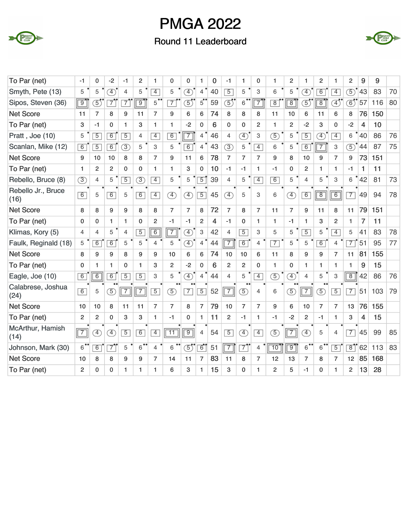

### Round 11 Leaderboard



| To Par (net)               | -1             | 0                            | $-2$           | -1             | $\overline{2}$ | 1                    | 0               | 0              | 1              | 0              | $-1$           | 1              | 0              |                | 2              |                              | $\overline{2}$ | 1              | $\overline{2}$ | 9              | 9   |    |
|----------------------------|----------------|------------------------------|----------------|----------------|----------------|----------------------|-----------------|----------------|----------------|----------------|----------------|----------------|----------------|----------------|----------------|------------------------------|----------------|----------------|----------------|----------------|-----|----|
| Smyth, Pete (13)           | 5              | 5                            | $\circled{4}$  | $\overline{4}$ | 5              | $\overline{4}$       | 5               | $\circled{4}$  | $\overline{4}$ | 40             | $\overline{5}$ | 5              | 3              | 6              | 5              | Ð                            | 6              | $\overline{4}$ | $\circled{5}$  | 43             | 83  | 70 |
| Sipos, Steven (36)         | $\overline{9}$ | $\overline{5}$               | $\overline{7}$ | $\overline{7}$ | 9              | $5^{\bullet\bullet}$ | $\overline{7}$  | 5              | $\overline{5}$ | 59             | $\overline{5}$ | $6^{\circ}$    | $\overline{7}$ | $\overline{8}$ | $\overline{8}$ | $\overline{5}$               | $\overline{8}$ | F)             | $\circledS$    | 57             | 116 | 80 |
| <b>Net Score</b>           | 11             | $\overline{7}$               | 8              | 9              | 11             | $\overline{7}$       | 9               | 6              | 6              | 74             | 8              | 8              | 8              | 11             | 10             | 6                            | 11             | 6              | 8              | 76             | 150 |    |
| To Par (net)               | 3              | $-1$                         | 0              | 1              | 3              | $\mathbf{1}$         | 1               | $-2$           | $\mathbf 0$    | 6              | $\mathbf 0$    | $\Omega$       | $\overline{c}$ | 1              | $\overline{c}$ | $-2$                         | 3              | 0              | $-2$           | 4              | 10  |    |
| Pratt, Joe (10)            | 5              | $\overline{5}$               | 6              | $\overline{5}$ | 4              | $\overline{4}$       | $\overline{6}$  | $\overline{7}$ | $\overline{4}$ | 46             | 4              | $\circled{4}$  | 3              | (5)            | 5              | $\overline{5}$               | $\circled{4}$  | $\overline{4}$ | 6              | 40             | 86  | 76 |
| Scanlan, Mike (12)         | 6              | $\overline{5}$               | 6              | $\circled{3}$  | 5              | 3                    | 5               | 6              | $\overline{4}$ | 43             | $\circled{3}$  | 5              | $\overline{4}$ | 6              | 5              | 6                            | $\overline{7}$ | 3              | $\circled{5}$  | 44             | 87  | 75 |
| <b>Net Score</b>           | 9              | 10                           | 10             | 8              | 8              | $\overline{7}$       | 9               | 11             | 6              | 78             | $\overline{7}$ | $\overline{7}$ | $\overline{7}$ | 9              | 8              | 10                           | 9              | $\overline{7}$ | 9              | 73             | 151 |    |
| To Par (net)               | 1              | $\overline{2}$               | 2              | 0              | 0              | $\mathbf{1}$         | 1               | 3              | $\Omega$       | 10             | $-1$           | $-1$           | 1              | -1             | 0              | 2                            | 1              | 1              | $-1$           | 1              | 11  |    |
| Rebello, Bruce (8)         | $\circled{3}$  | 4                            | 5              | $\overline{5}$ | $\circled{3}$  | $\overline{4}$       | 5               | 5              | $\overline{5}$ | 39             | $\overline{4}$ | 5              | $\overline{4}$ | 6              | 5              | $\overline{4}$               | 5              | 3              | 6              | 42             | 81  | 73 |
| Rebello Jr., Bruce<br>(16) | 6              | 5                            | 6              | 5              | 6              | $\overline{4}$       | $\circled{4}$   | $\circled{4}$  | $\overline{5}$ | 45             | $\circled{4}$  | 5              | 3              | 6              | $\circled{4}$  | 6                            | $\boxed{8}$    | $\boxed{6}$    | $\overline{7}$ | 49             | 94  | 78 |
| <b>Net Score</b>           | 8              | 8                            | 9              | 9              | 8              | 8                    | $\overline{7}$  | $\overline{7}$ | 8              | 72             | $\overline{7}$ | 8              | 7              | 11             | $\overline{7}$ | 9                            | 11             | 8              | 11             | 79             | 151 |    |
| To Par (net)               | $\mathbf 0$    | $\mathbf{0}$                 | $\mathbf{1}$   | 1              | $\Omega$       | $\overline{c}$       | $-1$            | $-1$           | $\overline{2}$ | $\overline{4}$ | $-1$           | $\Omega$       | 1              | 1.             | $-1$           | 1                            | 3              | $\overline{c}$ | $\mathbf{1}$   | $\overline{7}$ | 11  |    |
| Klimas, Kory (5)           | 4              | 4                            | 5              | $\overline{4}$ | $\overline{5}$ | $\overline{6}$       | $\overline{7}$  | $\circled{4}$  | 3              | 42             | $\overline{4}$ | $\overline{5}$ | 3              | 5              | 5              | $\overline{5}$               | 5              | $\overline{4}$ | 5              | 41             | 83  | 78 |
| Faulk, Reginald (18)       | 5              | $\overline{6}$               | 6              | 5              | 5              | $\overline{4}$       | 5               | $\mathcal{F}$  | $\overline{4}$ | 44             | $\overline{7}$ | $\overline{6}$ | $\overline{4}$ | $\overline{7}$ | 5              | 5                            | 6              | 4              | $\overline{7}$ | 51             | 95  | 77 |
| <b>Net Score</b>           | 8              | 9                            | 9              | 8              | 9              | 9                    | 10              | 6              | 6              | 74             | 10             | 10             | 6              | 11             | 8              | 9                            | 9              | $\overline{7}$ | 11             | 81             | 155 |    |
| To Par (net)               | $\mathbf 0$    | $\blacksquare$               | 1              | $\overline{0}$ | $\mathbf{1}$   | 3                    | $\overline{2}$  | $-2$           | $\Omega$       | 6              | $\overline{2}$ | $\overline{2}$ | $\Omega$       | 1              | $\Omega$       | 1                            | 1              | 1              | 1              | 9              | 15  |    |
| Eagle, Joe (10)            | $\overline{6}$ | $\overline{6}$               | $\overline{6}$ | $\overline{5}$ | $\overline{5}$ | 3                    | 5               | $\mathcal{F}$  | $\overline{4}$ | 44             | $\overline{4}$ | 5              | $\overline{4}$ | $\mathfrak{D}$ | $\circled{4}$  | $\overline{4}$               | 5              | 3              | $\sqrt{8}$     | 42             | 86  | 76 |
| Calabrese, Joshua<br>(24)  | 6              | 5                            | $\circled{5}$  | $\boxed{7}$    | $\boxed{7}$    | $\overline{5}$       | $\circled{5}$   | $\boxed{7}$    | $\overline{5}$ | 52             | $\boxed{7}$    | $\overline{5}$ | $\overline{4}$ | 6              | (5)            | $\boxed{7}$                  | $\circled{5}$  | $\boxed{5}$    | $\boxed{7}$    | 51             | 103 | 79 |
| <b>Net Score</b>           | 10             | 10                           | 8              | 11             | 11             | $\overline{7}$       | $\overline{7}$  | 8              | $\overline{7}$ | 79             | 10             | $\overline{7}$ | $\overline{7}$ | 9              | 6              | 10                           | $\overline{7}$ | $\overline{7}$ | 13             | 76             | 155 |    |
| To Par (net)               | $\overline{c}$ | $\overline{2}$               | $\overline{0}$ | 3              | 3              | 1                    | $-1$            | $\mathbf 0$    | $\mathbf{1}$   | 11             | $\overline{2}$ | $-1$           | 1              | $-1$           | $-2$           | $\overline{2}$               | $-1$           | 1              | 3              | 4              | 15  |    |
| McArthur, Hamish<br>(14)   | $\overline{7}$ | $\left( \overline{4}\right)$ | $\circled{4}$  | $\overline{5}$ | $\boxed{6}$    | $\overline{4}$       | $\overline{11}$ | $\overline{9}$ | $\overline{4}$ | 54             | $\boxed{5}$    | $\circled{4}$  | $\overline{4}$ | $\circled{5}$  | $\overline{7}$ | $\left( \overline{4}\right)$ | 5              | 4              | $\overline{7}$ | 45             | 99  | 85 |
| Johnson, Mark (30)         | 6              | $\overline{6}$               | $\overline{7}$ | 5              | $\overline{6}$ | $\overline{4}$       | 6               | $\mathfrak{S}$ | $\overline{6}$ | 51             | $\overline{7}$ | $\overline{7}$ | 4              | 10             | $\overline{9}$ | $\overline{6}$               | $6 -$          | $\overline{5}$ | $\overline{8}$ | 62             | 113 | 83 |
| <b>Net Score</b>           | 10             | 8                            | 8              | 9              | 9              | $\overline{7}$       | 14              | 11             | $\overline{7}$ | 83             | 11             | 8              | $\overline{7}$ | 12             | 13             | $\overline{7}$               | 8              | $\overline{7}$ | 12             | 85             | 168 |    |
| To Par (net)               | $\overline{c}$ | $\Omega$                     | 0              | 1              | 1              | 1                    | 6               | 3              | 1.             | 15             | 3              | 0              | 1              | $\overline{2}$ | 5              | $-1$                         | $\Omega$       | 1              | $\overline{2}$ | 13             | 28  |    |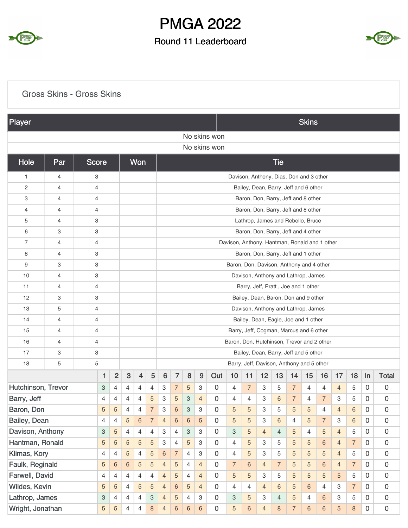

## Round 11 Leaderboard



### Gross Skins - Gross Skins

| Player                             |                |                |                           |                |                     |                                                                                 |                |                 |                 |                |                     |                            |                |                |                                               |                |                | <b>Skins</b>   |                |                |                |                            |                                            |
|------------------------------------|----------------|----------------|---------------------------|----------------|---------------------|---------------------------------------------------------------------------------|----------------|-----------------|-----------------|----------------|---------------------|----------------------------|----------------|----------------|-----------------------------------------------|----------------|----------------|----------------|----------------|----------------|----------------|----------------------------|--------------------------------------------|
|                                    |                |                |                           |                |                     |                                                                                 |                |                 |                 |                |                     | No skins won               |                |                |                                               |                |                |                |                |                |                |                            |                                            |
|                                    |                |                |                           |                |                     |                                                                                 |                |                 |                 |                |                     | No skins won               |                |                |                                               |                |                |                |                |                |                |                            |                                            |
| Hole                               | Par            | <b>Score</b>   |                           |                |                     | Won                                                                             |                |                 |                 |                |                     |                            |                |                |                                               | <b>Tie</b>     |                |                |                |                |                |                            |                                            |
| 1                                  | 4              | 3              |                           |                |                     |                                                                                 |                |                 |                 |                |                     |                            |                |                | Davison, Anthony, Dias, Don and 3 other       |                |                |                |                |                |                |                            |                                            |
| 2                                  | 4              | 4              |                           |                |                     |                                                                                 |                |                 |                 |                |                     |                            |                |                | Bailey, Dean, Barry, Jeff and 6 other         |                |                |                |                |                |                |                            |                                            |
| 3                                  | 4              | 4              |                           |                |                     |                                                                                 |                |                 |                 |                |                     |                            |                |                | Baron, Don, Barry, Jeff and 8 other           |                |                |                |                |                |                |                            |                                            |
| $\overline{4}$                     | 4              | 4              |                           |                |                     |                                                                                 |                |                 |                 |                |                     |                            |                |                | Baron, Don, Barry, Jeff and 8 other           |                |                |                |                |                |                |                            |                                            |
| 5                                  | 4              | 3              |                           |                |                     |                                                                                 |                |                 |                 |                |                     |                            |                |                | Lathrop, James and Rebello, Bruce             |                |                |                |                |                |                |                            |                                            |
| 6                                  | 3              | 3              |                           |                |                     |                                                                                 |                |                 |                 |                |                     |                            |                |                | Baron, Don, Barry, Jeff and 4 other           |                |                |                |                |                |                |                            |                                            |
| 7                                  | 4              | 4              |                           |                |                     |                                                                                 |                |                 |                 |                |                     |                            |                |                | Davison, Anthony, Hantman, Ronald and 1 other |                |                |                |                |                |                |                            |                                            |
| 8                                  | $\overline{4}$ | 3              |                           |                |                     |                                                                                 |                |                 |                 |                |                     |                            |                |                | Baron, Don, Barry, Jeff and 1 other           |                |                |                |                |                |                |                            |                                            |
| 9                                  | 3              | 3              |                           |                |                     | Baron, Don, Davison, Anthony and 4 other<br>Davison, Anthony and Lathrop, James |                |                 |                 |                |                     |                            |                |                |                                               |                |                |                |                |                |                |                            |                                            |
| 10                                 | 4              | 3              |                           |                |                     | Barry, Jeff, Pratt, Joe and 1 other                                             |                |                 |                 |                |                     |                            |                |                |                                               |                |                |                |                |                |                |                            |                                            |
| 11                                 | 4              | 4              |                           |                |                     |                                                                                 |                |                 |                 |                |                     |                            |                |                |                                               |                |                |                |                |                |                |                            |                                            |
| 12                                 | 3              | 3              |                           |                |                     |                                                                                 |                |                 |                 |                |                     |                            |                |                | Bailey, Dean, Baron, Don and 9 other          |                |                |                |                |                |                |                            |                                            |
| 13                                 | 5              | 4              |                           |                |                     |                                                                                 |                |                 |                 |                |                     |                            |                |                | Davison, Anthony and Lathrop, James           |                |                |                |                |                |                |                            |                                            |
| 14                                 | 4              | 4              |                           |                |                     |                                                                                 |                |                 |                 |                |                     |                            |                |                | Bailey, Dean, Eagle, Joe and 1 other          |                |                |                |                |                |                |                            |                                            |
| 15                                 | 4              | 4              |                           |                |                     |                                                                                 |                |                 |                 |                |                     |                            |                |                | Barry, Jeff, Cogman, Marcus and 6 other       |                |                |                |                |                |                |                            |                                            |
| 16                                 | 4              | $\overline{4}$ |                           |                |                     |                                                                                 |                |                 |                 |                |                     |                            |                |                | Baron, Don, Hutchinson, Trevor and 2 other    |                |                |                |                |                |                |                            |                                            |
| 17                                 | 3              | 3              |                           |                |                     |                                                                                 |                |                 |                 |                |                     |                            |                |                | Bailey, Dean, Barry, Jeff and 5 other         |                |                |                |                |                |                |                            |                                            |
| 18                                 | 5              | 5              |                           |                |                     |                                                                                 |                |                 |                 |                |                     |                            |                |                | Barry, Jeff, Davison, Anthony and 5 other     |                |                |                |                |                |                |                            |                                            |
|                                    |                |                | 1                         | $\overline{c}$ | $\sqrt{3}$          | $\overline{4}$                                                                  | 5              | $6\phantom{1}6$ | $\overline{7}$  | 8              | 9                   | Out                        | 10             | 11             | 12                                            | 13             | 14             | 15             | 16             | 17             | 18             | In                         | <b>Total</b>                               |
| Hutchinson, Trevor                 |                |                | 3                         | 4              | $\overline{4}$      | $\overline{4}$                                                                  | 4              | З               | $\overline{7}$  | 5              | 3                   | 0                          | 4              | $\overline{7}$ | 3                                             | 5              | $\overline{7}$ | 4              | 4              | $\overline{4}$ | 5              | 0                          | 0                                          |
| Barry, Jeff                        |                |                | 4                         | 4              | 4                   | $\overline{4}$                                                                  | 5              | 3               | 5               | 3              | $\overline{4}$      | 0                          | $\overline{4}$ | 4              | 3                                             | 6              | $\overline{7}$ | 4              | $\overline{7}$ | 3              | 5              | 0                          | 0                                          |
| Baron, Don                         |                |                | $\sqrt{5}$                | 5              | 4                   | 4                                                                               |                | 3               | $6\phantom{1}6$ | 3              | 3                   | $\mathbf 0$                | 5              | 5              | 3                                             | 5              | $\sqrt{5}$     | 5              | 4              | $\overline{4}$ | 6              | $\boldsymbol{0}$           | 0                                          |
| Bailey, Dean                       |                |                | $\overline{\mathbf{4}}$   | $\overline{4}$ | 5                   | $\,6\,$                                                                         | $\overline{7}$ | $\overline{4}$  | $\,6\,$         | $\,$ 6 $\,$    | 5                   | $\mathbf 0$                | 5              | 5              | 3                                             | 6              | $\overline{4}$ | 5              | $\overline{7}$ | 3              | $6\phantom{a}$ | $\mathbf 0$                | $\mathsf{O}\xspace$                        |
| Davison, Anthony                   |                |                | $\ensuremath{\mathsf{3}}$ | 5              | 4                   | 4                                                                               | 4              | 3               | 4               | 3              | 3                   | $\mathbf 0$                | 3              | 5              | $\overline{4}$                                | $\overline{4}$ | 5              | 4              | 5              | $\overline{4}$ | 5              | $\mathbf 0$                | $\mathsf{O}\xspace$                        |
| Hantman, Ronald                    |                |                | 5                         | $\sqrt{5}$     | 5                   | $\overline{5}$                                                                  | 5              | 3               | 4               | 5              | 3                   | $\mathbf 0$                | $\overline{4}$ | 5              | 3                                             | 5              | 5              | 5              | $\,6\,$        | $\overline{4}$ | $\overline{7}$ | $\mathbf 0$                | $\mathsf{O}\xspace$                        |
| Klimas, Kory                       |                |                | $\overline{4}$            | 4              | 5                   | 4                                                                               | 5              | 6               | $\overline{7}$  | 4              | 3                   | $\mathbf 0$                | $\overline{4}$ | 5              | 3                                             | 5              | 5              | 5              | 5              | $\overline{4}$ | 5              | $\mathbf 0$                | $\mathsf{O}\xspace$                        |
| Faulk, Reginald                    |                |                | 5                         | $\,6\,$        | $\,6\,$             | 5                                                                               | 5              | $\overline{4}$  | 5               | $\overline{4}$ | $\overline{4}$      | $\mathbf 0$                | $\overline{7}$ | $\,6\,$        | $\overline{4}$                                | $\overline{7}$ | $\sqrt{5}$     | 5              | 6              | $\overline{4}$ | $\overline{7}$ | $\mathbf 0$                | $\mathsf{O}\xspace$                        |
| Farwell, David                     |                |                | 4                         | 4              | 4<br>$\overline{4}$ | 4                                                                               | 4              | $\overline{4}$  | 5               | 4              | $\overline{4}$      | $\mathbf 0$<br>$\mathbf 0$ | 5              | 5              | 3                                             | 5              | 5              | 5              | 5              | 5<br>3         | 5              | $\mathbf 0$<br>$\mathbf 0$ | $\mathsf{O}\xspace$<br>$\mathsf{O}\xspace$ |
| Wildes, Kevin                      |                |                | 5                         | 5              | $\overline{4}$      | $\overline{5}$                                                                  | 5              | 4               | $\,6\,$         | 5              | $\overline{4}$<br>3 | $\mathbf 0$                | $\overline{4}$ | $\overline{4}$ | $\overline{4}$<br>3                           | 6              | $\overline{5}$ | $6\phantom{1}$ | $\overline{4}$ | 3              | $\overline{7}$ | $\mathbf 0$                | $\mathsf{O}\xspace$                        |
| Lathrop, James<br>Wright, Jonathan |                |                | $\ensuremath{\mathsf{3}}$ | $\overline{4}$ | $\overline{4}$      | 4                                                                               | 3              | 4               | 5               | 4              |                     | $\mathsf{O}\xspace$        | 3              | 5              |                                               | $\overline{4}$ | $\overline{5}$ | 4              | $6\phantom{a}$ |                | 5              | $\mathbf 0$                | $\mathsf{O}\xspace$                        |
|                                    |                |                | 5                         | 5              |                     | $\overline{4}$                                                                  | $\,8\,$        | $\overline{4}$  | $\,6$           | $\,$ 6 $\,$    | $\,6\,$             |                            | 5              | 6              | $\overline{4}$                                | 8              | $\overline{7}$ | $\sqrt{6}$     | $\,6\,$        | 5              | $\,8\,$        |                            |                                            |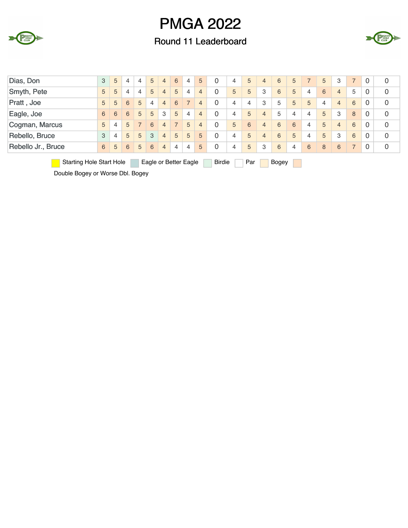

### Round 11 Leaderboard



| Dias, Don                       | 3 | 5 | 4 | $\overline{4}$ | 5 | 4              | 6              | 4                     | 5              | $\Omega$      | 4 | 5   | 4 | 6     | 5              |   | 5 | 3              | $\overline{7}$ | 0        | 0 |
|---------------------------------|---|---|---|----------------|---|----------------|----------------|-----------------------|----------------|---------------|---|-----|---|-------|----------------|---|---|----------------|----------------|----------|---|
| Smyth, Pete                     | 5 | 5 | 4 | 4              | 5 | 4              | 5              | 4                     | $\overline{4}$ | 0             | 5 | 5   | 3 | 6     | 5              | 4 | 6 | $\overline{4}$ | 5              | 0        | 0 |
| Pratt, Joe                      | 5 | 5 | 6 | 5              | 4 | 4              | 6              |                       | $\overline{4}$ | $\Omega$      | 4 | 4   | 3 | 5     | 5              | 5 | 4 | $\overline{4}$ | 6              | 0        | 0 |
| Eagle, Joe                      | 6 | 6 | 6 | 5              | 5 | 3              | 5              | 4                     | $\overline{4}$ | 0             | 4 | 5   | 4 | 5     | $\overline{4}$ | 4 | 5 | 3              | 8              | 0        | 0 |
| Cogman, Marcus                  | 5 | 4 | 5 | $\overline{7}$ | 6 | 4              | $\overline{7}$ | 5                     | $\overline{4}$ | $\Omega$      | 5 | 6   | 4 | 6     | 6              | 4 | 5 | $\overline{4}$ | 6              | 0        | 0 |
| Rebello, Bruce                  | 3 | 4 | 5 | 5              | 3 | 4              | 5              | 5                     | 5              | $\Omega$      | 4 | 5   | 4 | 6     | 5              | 4 | 5 | 3              | 6              | $\Omega$ | 0 |
| Rebello Jr., Bruce              | 6 | 5 | 6 | 5              | 6 | $\overline{4}$ | 4              | $\overline{4}$        | 5              | 0             | 4 | 5   | 3 | 6     | $\overline{4}$ | 6 | 8 | 6              | $\overline{7}$ | 0        | 0 |
| <b>Starting Hole Start Hole</b> |   |   |   |                |   |                |                | Eagle or Better Eagle |                | <b>Birdie</b> |   | Par |   | Bogey |                |   |   |                |                |          |   |

Double Bogey or Worse Dbl. Bogey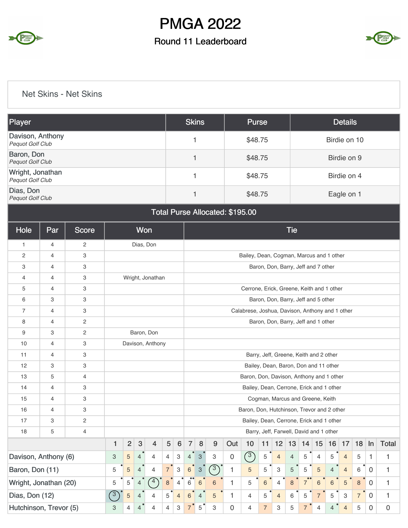

## Round 11 Leaderboard



Net Skins - Net Skins

| Player                                      | <b>Skins</b> | <b>Purse</b> | <b>Details</b> |
|---------------------------------------------|--------------|--------------|----------------|
| Davison, Anthony<br><b>Pequot Golf Club</b> |              | \$48.75      | Birdie on 10   |
| Baron, Don<br><b>Pequot Golf Club</b>       |              | \$48.75      | Birdie on 9    |
| Wright, Jonathan<br><b>Pequot Golf Club</b> |              | \$48.75      | Birdie on 4    |
| Dias, Don<br>Pequot Golf Club               |              | \$48.75      | Eagle on 1     |

Total Purse Allocated: \$195.00

| Hole                   | Par            | <b>Score</b>   |              |                | Won            |                  |                |                           |                       |                           |            |                     |                                                 |                |                 | <b>Tie</b>     |                |                                         |                |                |                |                |              |
|------------------------|----------------|----------------|--------------|----------------|----------------|------------------|----------------|---------------------------|-----------------------|---------------------------|------------|---------------------|-------------------------------------------------|----------------|-----------------|----------------|----------------|-----------------------------------------|----------------|----------------|----------------|----------------|--------------|
| $\mathbf{1}$           | 4              | $\overline{c}$ |              |                |                | Dias, Don        |                |                           |                       |                           |            |                     |                                                 |                |                 |                |                |                                         |                |                |                |                |              |
| 2                      | 4              | 3              |              |                |                |                  |                |                           |                       |                           |            |                     | Bailey, Dean, Cogman, Marcus and 1 other        |                |                 |                |                |                                         |                |                |                |                |              |
| 3                      | $\overline{4}$ | 3              |              |                |                |                  |                |                           |                       |                           |            |                     |                                                 |                |                 |                |                | Baron, Don, Barry, Jeff and 7 other     |                |                |                |                |              |
| $\overline{4}$         | $\overline{4}$ | 3              |              |                |                | Wright, Jonathan |                |                           |                       |                           |            |                     |                                                 |                |                 |                |                |                                         |                |                |                |                |              |
| 5                      | 4              | 3              |              |                |                |                  |                |                           |                       |                           |            |                     | Cerrone, Erick, Greene, Keith and 1 other       |                |                 |                |                |                                         |                |                |                |                |              |
| 6                      | 3              | 3              |              |                |                |                  |                |                           |                       |                           |            |                     |                                                 |                |                 |                |                | Baron, Don, Barry, Jeff and 5 other     |                |                |                |                |              |
| $\overline{7}$         | $\overline{4}$ | 3              |              |                |                |                  |                |                           |                       |                           |            |                     | Calabrese, Joshua, Davison, Anthony and 1 other |                |                 |                |                |                                         |                |                |                |                |              |
| 8                      | $\overline{4}$ | $\mathbf{2}$   |              |                |                |                  |                |                           |                       |                           |            |                     |                                                 |                |                 |                |                | Baron, Don, Barry, Jeff and 1 other     |                |                |                |                |              |
| 9                      | 3              | $\overline{c}$ |              |                |                | Baron, Don       |                |                           |                       |                           |            |                     |                                                 |                |                 |                |                |                                         |                |                |                |                |              |
| 10                     | 4              | 3              |              |                |                | Davison, Anthony |                |                           |                       |                           |            |                     |                                                 |                |                 |                |                |                                         |                |                |                |                |              |
| 11                     | 4              | 3              |              |                |                |                  |                |                           |                       |                           |            |                     |                                                 |                |                 |                |                | Barry, Jeff, Greene, Keith and 2 other  |                |                |                |                |              |
| 12                     | 3              | 3              |              |                |                |                  |                |                           |                       |                           |            |                     | Bailey, Dean, Baron, Don and 11 other           |                |                 |                |                |                                         |                |                |                |                |              |
| 13                     | 5              | $\overline{4}$ |              |                |                |                  |                |                           |                       |                           |            |                     | Baron, Don, Davison, Anthony and 1 other        |                |                 |                |                |                                         |                |                |                |                |              |
| 14                     | $\overline{4}$ | 3              |              |                |                |                  |                |                           |                       |                           |            |                     | Bailey, Dean, Cerrone, Erick and 1 other        |                |                 |                |                |                                         |                |                |                |                |              |
| 15                     | 4              | 3              |              |                |                |                  |                |                           |                       |                           |            |                     |                                                 |                |                 |                |                | Cogman, Marcus and Greene, Keith        |                |                |                |                |              |
| 16                     | 4              | 3              |              |                |                |                  |                |                           |                       |                           |            |                     | Baron, Don, Hutchinson, Trevor and 2 other      |                |                 |                |                |                                         |                |                |                |                |              |
| 17                     | 3              | $\mathbf{2}$   |              |                |                |                  |                |                           |                       |                           |            |                     | Bailey, Dean, Cerrone, Erick and 1 other        |                |                 |                |                |                                         |                |                |                |                |              |
| 18                     | 5              | 4              |              |                |                |                  |                |                           |                       |                           |            |                     |                                                 |                |                 |                |                | Barry, Jeff, Farwell, David and 1 other |                |                |                |                |              |
|                        |                |                | $\mathbf{1}$ | $\overline{2}$ | $\mathbf{3}$   | $\overline{4}$   | 5              | 6                         | $\overline{7}$        | 8                         | 9          | Out                 | 10                                              | 11             | 12 <sub>2</sub> | 13             | 14             | 15                                      | 16             | 17             | 18             | $\ln$          | <b>Total</b> |
| Davison, Anthony (6)   |                |                | 3            | 5              | $\overline{4}$ | $\overline{4}$   | $\overline{4}$ | $\mathbf{3}$              | $\overline{4}$        | $\sqrt{3}$                | 3          | $\mathsf{O}\xspace$ | $\circled{3}$                                   | $\,$ 5 $\,$    | $\overline{4}$  | $\overline{4}$ | 5              | $\overline{4}$                          | 5              | $\overline{4}$ | 5              | 1              | 1            |
| Baron, Don (11)        |                |                | 5            | 5              | 4              | $\overline{4}$   | $7^{\degree}$  | $\ensuremath{\mathsf{3}}$ | $6\phantom{a}$        | $\ensuremath{\mathsf{3}}$ | $\sqrt{3}$ | 1                   | 5                                               | 5              | 3               | 5              | 5              | 5                                       | 4              | $\overline{4}$ | 6              | $\overline{0}$ | 1            |
| Wright, Jonathan (20)  |                |                | 5            | 5              | $\overline{4}$ | 4                | 8              | $\overline{4}$            | $\bullet\bullet$<br>6 | 6                         | 6          | 1                   | 5                                               | $\,6$          | $\overline{4}$  | $\,8\,$        | $\overline{7}$ | 6                                       | 6              | 5              | $\bf 8$        | $\overline{0}$ | $\mathbf{1}$ |
| Dias, Don (12)         |                |                | (3)          | $\sqrt{5}$     | $\overline{4}$ | 4                | 5              | $\overline{4}$            | 6                     | $\overline{4}$            | 5          | 1                   | 4                                               | 5              | $\overline{4}$  | 6              | 5              | 7                                       | 5              | 3              | $\overline{7}$ | $\overline{0}$ | 1            |
| Hutchinson, Trevor (5) |                |                | 3            | $\overline{4}$ | $\overline{4}$ | 4                | 4              | 3                         | $\overline{7}$        | 5                         | 3          | 0                   | $\overline{4}$                                  | $\overline{7}$ | 3               | 5              | $\overline{7}$ | $\overline{4}$                          | $\overline{4}$ | $\overline{4}$ | 5              | $\mathbf 0$    | 0            |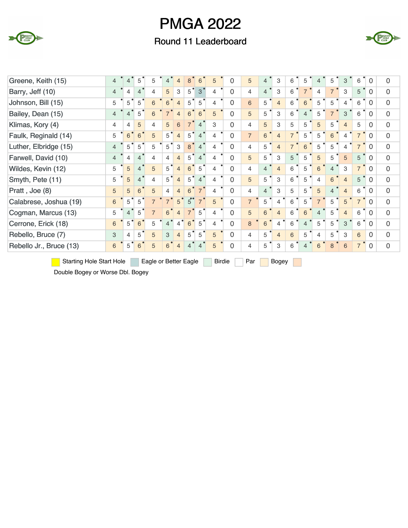

## Round 11 Leaderboard



| Greene, Keith (15)      | $\overline{4}$ | 4              | 5                           | 5              | 4              | $\overline{4}$ | 8              | 6               | 5              | $\Omega$ | 5              | $\overline{4}$ | 3              | 6              | 5              | 4              | 5              | 3              | 6              | $\overline{0}$ | $\Omega$       |
|-------------------------|----------------|----------------|-----------------------------|----------------|----------------|----------------|----------------|-----------------|----------------|----------|----------------|----------------|----------------|----------------|----------------|----------------|----------------|----------------|----------------|----------------|----------------|
| Barry, Jeff (10)        | $\overline{4}$ | 4              | $\overline{4}$              | $\overline{4}$ | 5              | 3              | 5              | 3               | 4              | $\Omega$ | $\overline{4}$ | $\overline{4}$ | 3              | 6              | $\overline{7}$ | 4              | $\overline{7}$ | 3              | $\bullet$<br>5 | $\Omega$       | $\overline{0}$ |
| Johnson, Bill (15)      | 5              | 5              | 5                           | 6              | $6\phantom{1}$ | $\overline{4}$ | 5              | 5               | 4              | $\Omega$ | 6              | 5              | $\overline{4}$ | 6              | 6              | 5              | 5              | 4              | 6              | $\Omega$       | $\overline{0}$ |
| Bailey, Dean (15)       | $\overline{4}$ | $\overline{4}$ | 5                           | 6              | $\overline{7}$ | $\overline{4}$ | 6              | $6\overline{6}$ | 5              | $\Omega$ | 5              | 5              | 3              | 6              | $\overline{4}$ | 5              | $\overline{7}$ | 3              | 6              | $\Omega$       | $\overline{0}$ |
| Klimas, Kory (4)        | $\overline{4}$ | 4              | 5                           | 4              | 5              | 6              |                | $\overline{4}$  | 3              | $\Omega$ | $\overline{4}$ | 5              | 3              | 5              | 5              | 5              | 5              | $\overline{4}$ | 5              | $\Omega$       | $\Omega$       |
| Faulk, Reginald (14)    | 5              | 6              | 6 <sup>o</sup>              | 5              | 5              | $\overline{4}$ | 5              | $\overline{4}$  | 4              | $\Omega$ | $\overline{7}$ | $6\phantom{a}$ | $\overline{4}$ | $\overline{7}$ | 5              | 5              | 6              | 4              | $\overline{7}$ | $\Omega$       | $\overline{0}$ |
| Luther, Elbridge (15)   | $\overline{4}$ | 5              | 5                           | 5              | 5              | 3              | 8              | $\overline{4}$  | 4              | $\Omega$ | $\overline{4}$ | 5              | $\overline{4}$ | $\overline{7}$ | 6              | 5              | 5              | 4              | $\overline{7}$ | $\Omega$       | $\Omega$       |
| Farwell, David (10)     | $\overline{4}$ | 4              | $\overline{4}$              | 4              | 4              | $\overline{4}$ | 5              | $\overline{4}$  | 4              | $\Omega$ | 5              | 5              | 3              | 5              | 5              | 5              | 5              | 5              | 5              | $\Omega$       | $\Omega$       |
| Wildes, Kevin (12)      | 5              | 5              | $\bullet$<br>$\overline{4}$ | 5              | 5              | $\overline{4}$ | 6              | 5               | $\overline{4}$ | $\Omega$ | $\overline{4}$ | $\overline{4}$ | $\overline{4}$ | 6              | 5              | 6              | 4              | 3              | 7 <sup>1</sup> | $\Omega$       | $\overline{0}$ |
| Smyth, Pete (11)        | 5              | 5              | $\overline{4}$              | 4              | 5              | $\overline{4}$ | $5^{\circ}$    | $\overline{4}$  | 4              | $\Omega$ | 5              | 5              | 3              | 6              | 5              | 4              | 6              | $\overline{4}$ | 5              | $\Omega$       | $\Omega$       |
| Pratt, Joe (8)          | 5              | 5              | $6\phantom{1}$              | 5              | $\overline{4}$ | $\overline{4}$ | 6              | $\overline{7}$  | 4              | $\Omega$ | $\overline{4}$ | $\overline{4}$ | 3              | 5              | 5              | 5              | $\overline{4}$ | $\overline{4}$ | 6              | $\overline{0}$ | $\Omega$       |
| Calabrese, Joshua (19)  | 6              | 5              | 5                           | $\overline{7}$ | $\overline{7}$ | 5              | $5^{\circ}$    | $\overline{7}$  | 5              | $\Omega$ | $\overline{7}$ | 5              | 4              | 6              | 5              | $\overline{7}$ | 5              | 5              | $\overline{7}$ | $\Omega$       | $\Omega$       |
| Cogman, Marcus (13)     | 5              | 4              | 5                           | $\overline{7}$ | 6              | $\overline{4}$ | $\overline{7}$ | $5^{\circ}$     | 4              | $\Omega$ | 5              | 6              | $\overline{4}$ | 6              | 6              | 4              | 5              | $\overline{4}$ | 6              | $\Omega$       | $\Omega$       |
| Cerrone, Erick (18)     | 6              | 5              | 6                           | 5              | $\overline{4}$ | $\overline{4}$ | 6              | 5               | 4              | $\Omega$ | 8              | 6              | 4              | 6              | $\overline{4}$ | 5              | 5              | 3              | 6              | $\Omega$       | $\Omega$       |
| Rebello, Bruce (7)      | 3              | 4              | 5                           | 5              | 3              | $\overline{4}$ | 5              | 5               | 5              | $\Omega$ | $\overline{4}$ | 5              | $\overline{4}$ | 6              | 5              | 4              | 5              | 3              | 6              | $\Omega$       | $\overline{0}$ |
| Rebello Jr., Bruce (13) | 6              | 5              | 6                           | 5              | 6              | $\overline{4}$ | 4              | 4               | 5              | $\Omega$ | 4              | 5              | 3              | 6              | 4              | 6              | 8              | 6              |                | $\Omega$       | $\overline{0}$ |

**Starting Hole Start Hole** Eagle or Better Eagle Birdie Par Bogey

 $\mathcal{L}^{\text{max}}$ 

Double Bogey or Worse Dbl. Bogey